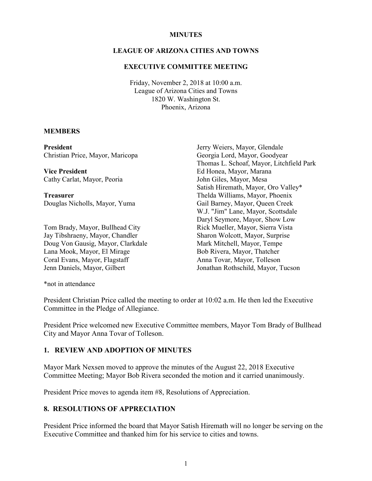#### **MINUTES**

#### **LEAGUE OF ARIZONA CITIES AND TOWNS**

#### **EXECUTIVE COMMITTEE MEETING**

Friday, November 2, 2018 at 10:00 a.m. League of Arizona Cities and Towns 1820 W. Washington St. Phoenix, Arizona

#### **MEMBERS**

**President** Christian Price, Mayor, Maricopa **Vice President** Cathy Carlat, Mayor, Peoria **Treasurer** Douglas Nicholls, Mayor, Yuma Tom Brady, Mayor, Bullhead City Jay Tibshraeny, Mayor, Chandler Doug Von Gausig, Mayor, Clarkdale Lana Mook, Mayor, El Mirage Coral Evans, Mayor, Flagstaff Jenn Daniels, Mayor, Gilbert Jerry Weiers, Mayor, Glendale Georgia Lord, Mayor, Goodyear Thomas L. Schoaf, Mayor, Litchfield Park Ed Honea, Mayor, Marana John Giles, Mayor, Mesa Satish Hiremath, Mayor, Oro Valley\* Thelda Williams, Mayor, Phoenix Gail Barney, Mayor, Queen Creek W.J. "Jim" Lane, Mayor, Scottsdale Daryl Seymore, Mayor, Show Low Rick Mueller, Mayor, Sierra Vista Sharon Wolcott, Mayor, Surprise Mark Mitchell, Mayor, Tempe Bob Rivera, Mayor, Thatcher Anna Tovar, Mayor, Tolleson Jonathan Rothschild, Mayor, Tucson

\*not in attendance

President Christian Price called the meeting to order at 10:02 a.m. He then led the Executive Committee in the Pledge of Allegiance.

President Price welcomed new Executive Committee members, Mayor Tom Brady of Bullhead City and Mayor Anna Tovar of Tolleson.

### **1. REVIEW AND ADOPTION OF MINUTES**

Mayor Mark Nexsen moved to approve the minutes of the August 22, 2018 Executive Committee Meeting; Mayor Bob Rivera seconded the motion and it carried unanimously.

President Price moves to agenda item #8, Resolutions of Appreciation.

### **8. RESOLUTIONS OF APPRECIATION**

President Price informed the board that Mayor Satish Hiremath will no longer be serving on the Executive Committee and thanked him for his service to cities and towns.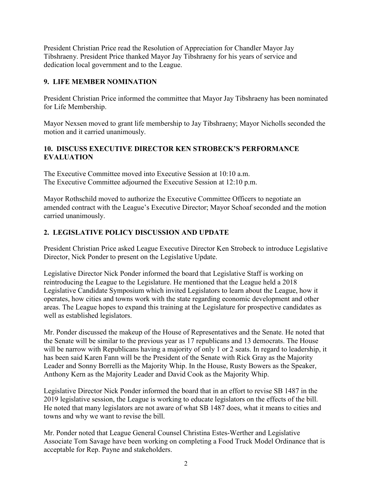President Christian Price read the Resolution of Appreciation for Chandler Mayor Jay Tibshraeny. President Price thanked Mayor Jay Tibshraeny for his years of service and dedication local government and to the League.

## **9. LIFE MEMBER NOMINATION**

President Christian Price informed the committee that Mayor Jay Tibshraeny has been nominated for Life Membership.

Mayor Nexsen moved to grant life membership to Jay Tibshraeny; Mayor Nicholls seconded the motion and it carried unanimously.

## **10. DISCUSS EXECUTIVE DIRECTOR KEN STROBECK'S PERFORMANCE EVALUATION**

The Executive Committee moved into Executive Session at 10:10 a.m. The Executive Committee adjourned the Executive Session at 12:10 p.m.

Mayor Rothschild moved to authorize the Executive Committee Officers to negotiate an amended contract with the League's Executive Director; Mayor Schoaf seconded and the motion carried unanimously.

# **2. LEGISLATIVE POLICY DISCUSSION AND UPDATE**

President Christian Price asked League Executive Director Ken Strobeck to introduce Legislative Director, Nick Ponder to present on the Legislative Update.

Legislative Director Nick Ponder informed the board that Legislative Staff is working on reintroducing the League to the Legislature. He mentioned that the League held a 2018 Legislative Candidate Symposium which invited Legislators to learn about the League, how it operates, how cities and towns work with the state regarding economic development and other areas. The League hopes to expand this training at the Legislature for prospective candidates as well as established legislators.

Mr. Ponder discussed the makeup of the House of Representatives and the Senate. He noted that the Senate will be similar to the previous year as 17 republicans and 13 democrats. The House will be narrow with Republicans having a majority of only 1 or 2 seats. In regard to leadership, it has been said Karen Fann will be the President of the Senate with Rick Gray as the Majority Leader and Sonny Borrelli as the Majority Whip. In the House, Rusty Bowers as the Speaker, Anthony Kern as the Majority Leader and David Cook as the Majority Whip.

Legislative Director Nick Ponder informed the board that in an effort to revise SB 1487 in the 2019 legislative session, the League is working to educate legislators on the effects of the bill. He noted that many legislators are not aware of what SB 1487 does, what it means to cities and towns and why we want to revise the bill.

Mr. Ponder noted that League General Counsel Christina Estes-Werther and Legislative Associate Tom Savage have been working on completing a Food Truck Model Ordinance that is acceptable for Rep. Payne and stakeholders.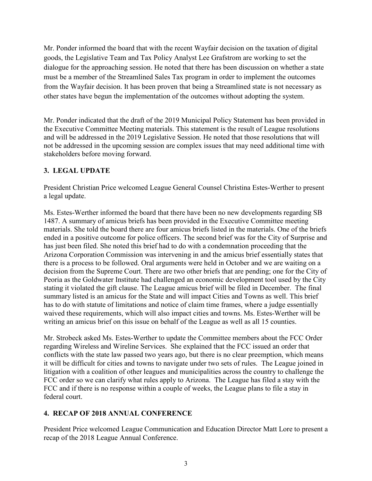Mr. Ponder informed the board that with the recent Wayfair decision on the taxation of digital goods, the Legislative Team and Tax Policy Analyst Lee Grafstrom are working to set the dialogue for the approaching session. He noted that there has been discussion on whether a state must be a member of the Streamlined Sales Tax program in order to implement the outcomes from the Wayfair decision. It has been proven that being a Streamlined state is not necessary as other states have begun the implementation of the outcomes without adopting the system.

Mr. Ponder indicated that the draft of the 2019 Municipal Policy Statement has been provided in the Executive Committee Meeting materials. This statement is the result of League resolutions and will be addressed in the 2019 Legislative Session. He noted that those resolutions that will not be addressed in the upcoming session are complex issues that may need additional time with stakeholders before moving forward.

## **3. LEGAL UPDATE**

President Christian Price welcomed League General Counsel Christina Estes-Werther to present a legal update.

Ms. Estes-Werther informed the board that there have been no new developments regarding SB 1487. A summary of amicus briefs has been provided in the Executive Committee meeting materials. She told the board there are four amicus briefs listed in the materials. One of the briefs ended in a positive outcome for police officers. The second brief was for the City of Surprise and has just been filed. She noted this brief had to do with a condemnation proceeding that the Arizona Corporation Commission was intervening in and the amicus brief essentially states that there is a process to be followed. Oral arguments were held in October and we are waiting on a decision from the Supreme Court. There are two other briefs that are pending; one for the City of Peoria as the Goldwater Institute had challenged an economic development tool used by the City stating it violated the gift clause. The League amicus brief will be filed in December. The final summary listed is an amicus for the State and will impact Cities and Towns as well. This brief has to do with statute of limitations and notice of claim time frames, where a judge essentially waived these requirements, which will also impact cities and towns. Ms. Estes-Werther will be writing an amicus brief on this issue on behalf of the League as well as all 15 counties.

Mr. Strobeck asked Ms. Estes-Werther to update the Committee members about the FCC Order regarding Wireless and Wireline Services. She explained that the FCC issued an order that conflicts with the state law passed two years ago, but there is no clear preemption, which means it will be difficult for cities and towns to navigate under two sets of rules. The League joined in litigation with a coalition of other leagues and municipalities across the country to challenge the FCC order so we can clarify what rules apply to Arizona. The League has filed a stay with the FCC and if there is no response within a couple of weeks, the League plans to file a stay in federal court.

### **4. RECAP OF 2018 ANNUAL CONFERENCE**

President Price welcomed League Communication and Education Director Matt Lore to present a recap of the 2018 League Annual Conference.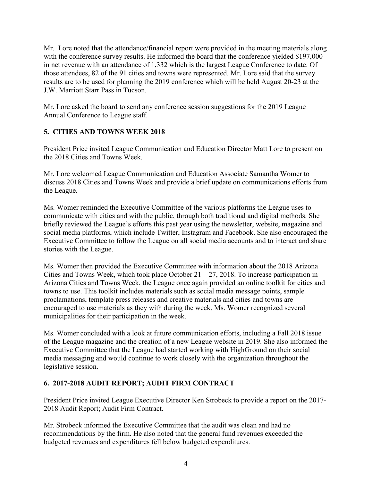Mr. Lore noted that the attendance/financial report were provided in the meeting materials along with the conference survey results. He informed the board that the conference yielded \$197,000 in net revenue with an attendance of 1,332 which is the largest League Conference to date. Of those attendees, 82 of the 91 cities and towns were represented. Mr. Lore said that the survey results are to be used for planning the 2019 conference which will be held August 20-23 at the J.W. Marriott Starr Pass in Tucson.

Mr. Lore asked the board to send any conference session suggestions for the 2019 League Annual Conference to League staff.

# **5. CITIES AND TOWNS WEEK 2018**

President Price invited League Communication and Education Director Matt Lore to present on the 2018 Cities and Towns Week.

Mr. Lore welcomed League Communication and Education Associate Samantha Womer to discuss 2018 Cities and Towns Week and provide a brief update on communications efforts from the League.

Ms. Womer reminded the Executive Committee of the various platforms the League uses to communicate with cities and with the public, through both traditional and digital methods. She briefly reviewed the League's efforts this past year using the newsletter, website, magazine and social media platforms, which include Twitter, Instagram and Facebook. She also encouraged the Executive Committee to follow the League on all social media accounts and to interact and share stories with the League.

Ms. Womer then provided the Executive Committee with information about the 2018 Arizona Cities and Towns Week, which took place October  $21 - 27$ , 2018. To increase participation in Arizona Cities and Towns Week, the League once again provided an online toolkit for cities and towns to use. This toolkit includes materials such as social media message points, sample proclamations, template press releases and creative materials and cities and towns are encouraged to use materials as they with during the week. Ms. Womer recognized several municipalities for their participation in the week.

Ms. Womer concluded with a look at future communication efforts, including a Fall 2018 issue of the League magazine and the creation of a new League website in 2019. She also informed the Executive Committee that the League had started working with HighGround on their social media messaging and would continue to work closely with the organization throughout the legislative session.

# **6. 2017-2018 AUDIT REPORT; AUDIT FIRM CONTRACT**

President Price invited League Executive Director Ken Strobeck to provide a report on the 2017- 2018 Audit Report; Audit Firm Contract.

Mr. Strobeck informed the Executive Committee that the audit was clean and had no recommendations by the firm. He also noted that the general fund revenues exceeded the budgeted revenues and expenditures fell below budgeted expenditures.